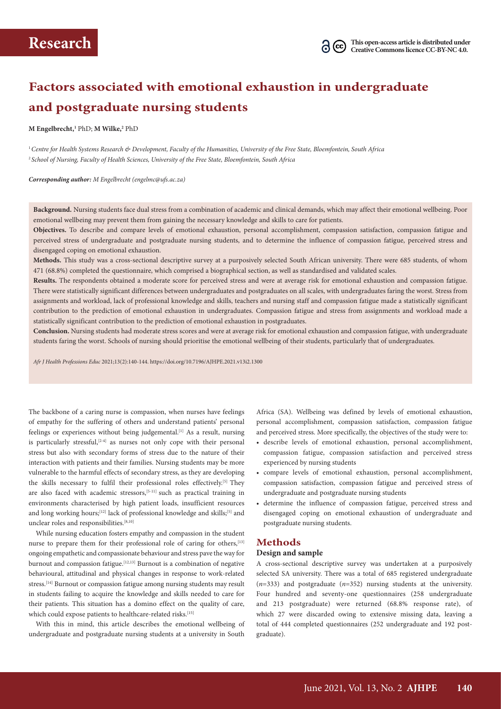# **Factors associated with emotional exhaustion in undergraduate and postgraduate nursing students**

#### **M Engelbrecht,1** PhD; **M Wilke,2** PhD

<sup>1</sup>*Centre for Health Systems Research & Development, Faculty of the Humanities, University of the Free State, Bloemfontein, South Africa* <sup>2</sup>*School of Nursing, Faculty of Health Sciences, University of the Free State, Bloemfontein, South Africa*

#### *Corresponding author: M Engelbrecht ([engelmc@ufs.ac.za](mailto:engelmc@ufs.ac.za))*

**Background.** Nursing students face dual stress from a combination of academic and clinical demands, which may affect their emotional wellbeing. Poor emotional wellbeing may prevent them from gaining the necessary knowledge and skills to care for patients.

**Objectives.** To describe and compare levels of emotional exhaustion, personal accomplishment, compassion satisfaction, compassion fatigue and perceived stress of undergraduate and postgraduate nursing students, and to determine the influence of compassion fatigue, perceived stress and disengaged coping on emotional exhaustion.

**Methods.** This study was a cross-sectional descriptive survey at a purposively selected South African university. There were 685 students, of whom 471 (68.8%) completed the questionnaire, which comprised a biographical section, as well as standardised and validated scales.

**Results.** The respondents obtained a moderate score for perceived stress and were at average risk for emotional exhaustion and compassion fatigue. There were statistically significant differences between undergraduates and postgraduates on all scales, with undergraduates faring the worst. Stress from assignments and workload, lack of professional knowledge and skills, teachers and nursing staff and compassion fatigue made a statistically significant contribution to the prediction of emotional exhaustion in undergraduates. Compassion fatigue and stress from assignments and workload made a statistically significant contribution to the prediction of emotional exhaustion in postgraduates.

**Conclusion.** Nursing students had moderate stress scores and were at average risk for emotional exhaustion and compassion fatigue, with undergraduate students faring the worst. Schools of nursing should prioritise the emotional wellbeing of their students, particularly that of undergraduates.

*Afr J Health Professions Educ* 2021;13(2):140-144.<https://doi.org/10.7196/AJHPE.2021.v13i2.1300>

The backbone of a caring nurse is compassion, when nurses have feelings of empathy for the suffering of others and understand patients' personal feelings or experiences without being judgemental.<sup>[1]</sup> As a result, nursing is particularly stressful,  $[2-4]$  as nurses not only cope with their personal stress but also with secondary forms of stress due to the nature of their interaction with patients and their families. Nursing students may be more vulnerable to the harmful effects of secondary stress, as they are developing the skills necessary to fulfil their professional roles effectively.<sup>[5]</sup> They are also faced with academic stressors,<sup>[5-11]</sup> such as practical training in environments characterised by high patient loads, insufficient resources and long working hours;<sup>[12]</sup> lack of professional knowledge and skills;<sup>[5]</sup> and unclear roles and responsibilities.<sup>[8,10]</sup>

While nursing education fosters empathy and compassion in the student nurse to prepare them for their professional role of caring for others,<sup>[13]</sup> ongoing empathetic and compassionate behaviour and stress pave the way for burnout and compassion fatigue.<sup>[12,13]</sup> Burnout is a combination of negative behavioural, attitudinal and physical changes in response to work-related stress.[14] Burnout or compassion fatigue among nursing students may result in students failing to acquire the knowledge and skills needed to care for their patients. This situation has a domino effect on the quality of care, which could expose patients to healthcare-related risks.<sup>[15]</sup>

With this in mind, this article describes the emotional wellbeing of undergraduate and postgraduate nursing students at a university in South

Africa (SA). Wellbeing was defined by levels of emotional exhaustion, personal accomplishment, compassion satisfaction, compassion fatigue and perceived stress. More specifically, the objectives of the study were to:

- describe levels of emotional exhaustion, personal accomplishment, compassion fatigue, compassion satisfaction and perceived stress experienced by nursing students
- compare levels of emotional exhaustion, personal accomplishment, compassion satisfaction, compassion fatigue and perceived stress of undergraduate and postgraduate nursing students
- determine the influence of compassion fatigue, perceived stress and disengaged coping on emotional exhaustion of undergraduate and postgraduate nursing students.

### **Methods**

#### **Design and sample**

A cross-sectional descriptive survey was undertaken at a purposively selected SA university. There was a total of 685 registered undergraduate (*n*=333) and postgraduate (*n*=352) nursing students at the university. Four hundred and seventy-one questionnaires (258 undergraduate and 213 postgraduate) were returned (68.8% response rate), of which 27 were discarded owing to extensive missing data, leaving a total of 444 completed questionnaires (252 undergraduate and 192 postgraduate).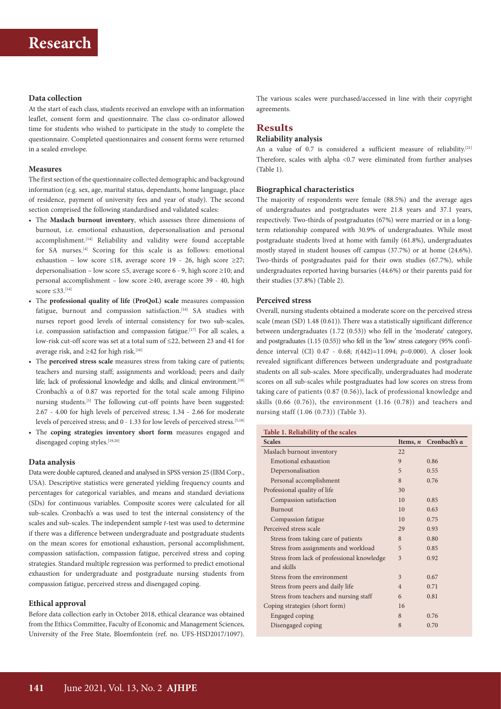# **Data collection**

At the start of each class, students received an envelope with an information leaflet, consent form and questionnaire. The class co-ordinator allowed time for students who wished to participate in the study to complete the questionnaire. Completed questionnaires and consent forms were returned in a sealed envelope.

#### **Measures**

The first section of the questionnaire collected demographic and background information (e.g. sex, age, marital status, dependants, home language, place of residence, payment of university fees and year of study). The second section comprised the following standardised and validated scales:

- The **Maslach burnout inventory**, which assesses three dimensions of burnout, i.e. emotional exhaustion, depersonalisation and personal accomplishment.<sup>[14]</sup> Reliability and validity were found acceptable for SA nurses.[4] Scoring for this scale is as follows: emotional exhaustion – low score ≤18, average score 19 - 26, high score ≥27; depersonalisation – low score ≤5, average score 6 - 9, high score ≥10; and personal accomplishment – low score ≥40, average score 39 - 40, high score  $\leq$ 33.<sup>[14]</sup>
- The **professional quality of life (ProQoL) scale** measures compassion fatigue, burnout and compassion satisfaction.<sup>[16]</sup> SA studies with nurses report good levels of internal consistency for two sub-scales, i.e. compassion satisfaction and compassion fatigue.[17] For all scales, a low-risk cut-off score was set at a total sum of ≤22, between 23 and 41 for average risk, and  $\geq$ 42 for high risk.<sup>[16]</sup>
- The **perceived stress scale** measures stress from taking care of patients; teachers and nursing staff; assignments and workload; peers and daily life; lack of professional knowledge and skills; and clinical environment.<sup>[18]</sup> Cronbach's α of 0.87 was reported for the total scale among Filipino nursing students.<sup>[5]</sup> The following cut-off points have been suggested: 2.67 - 4.00 for high levels of perceived stress; 1.34 - 2.66 for moderate levels of perceived stress; and 0 - 1.33 for low levels of perceived stress.<sup>[5,18]</sup>
- The **coping strategies inventory short form** measures engaged and disengaged coping styles.<sup>[19,20]</sup>

#### **Data analysis**

Data were double captured, cleaned and analysed in SPSS version 25 (IBM Corp., USA). Descriptive statistics were generated yielding frequency counts and percentages for categorical variables, and means and standard deviations (SDs) for continuous variables. Composite scores were calculated for all sub-scales. Cronbach's α was used to test the internal consistency of the scales and sub-scales. The independent sample *t*-test was used to determine if there was a difference between undergraduate and postgraduate students on the mean scores for emotional exhaustion, personal accomplishment, compassion satisfaction, compassion fatigue, perceived stress and coping strategies. Standard multiple regression was performed to predict emotional exhaustion for undergraduate and postgraduate nursing students from compassion fatigue, perceived stress and disengaged coping.

### **Ethical approval**

Before data collection early in October 2018, ethical clearance was obtained from the Ethics Committee, Faculty of Economic and Management Sciences, University of the Free State, Bloemfontein (ref. no. UFS-HSD2017/1097). The various scales were purchased/accessed in line with their copyright agreements.

# **Results**

#### **Reliability analysis**

An α value of 0.7 is considered a sufficient measure of reliability.[21] Therefore, scales with alpha <0.7 were eliminated from further analyses (Table 1).

### **Biographical characteristics**

The majority of respondents were female (88.5%) and the average ages of undergraduates and postgraduates were 21.8 years and 37.1 years, respectively. Two-thirds of postgraduates (67%) were married or in a longterm relationship compared with 30.9% of undergraduates. While most postgraduate students lived at home with family (61.8%), undergraduates mostly stayed in student houses off campus (37.7%) or at home (24.6%). Two-thirds of postgraduates paid for their own studies (67.7%), while undergraduates reported having bursaries (44.6%) or their parents paid for their studies (37.8%) (Table 2).

#### **Perceived stress**

Overall, nursing students obtained a moderate score on the perceived stress scale (mean (SD) 1.48 (0.61)). There was a statistically significant difference between undergraduates (1.72 (0.53)) who fell in the 'moderate' category, and postgraduates (1.15 (0.55)) who fell in the 'low' stress category (95% confidence interval (CI) 0.47 - 0.68; *t*(442)=11.094; *p*=0.000). A closer look revealed significant differences between undergraduate and postgraduate students on all sub-scales. More specifically, undergraduates had moderate scores on all sub-scales while postgraduates had low scores on stress from taking care of patients (0.87 (0.56)), lack of professional knowledge and skills (0.66 (0.76)), the environment (1.16 (0.78)) and teachers and nursing staff (1.06 (0.73)) (Table 3).

# **Table 1. Reliability of the scales**

| <b>Scales</b>                              | Items, $n$     | Cronbach's a |
|--------------------------------------------|----------------|--------------|
| Maslach burnout inventory                  | 22             |              |
| Emotional exhaustion                       | 9              | 0.86         |
| Depersonalisation                          | 5              | 0.55         |
| Personal accomplishment                    | 8              | 0.76         |
| Professional quality of life               | 30             |              |
| Compassion satisfaction                    | 10             | 0.85         |
| Burnout                                    | 10             | 0.63         |
| Compassion fatigue                         | 10             | 0.75         |
| Perceived stress scale                     | 29             | 0.93         |
| Stress from taking care of patients        | 8              | 0.80         |
| Stress from assignments and workload       | 5              | 0.85         |
| Stress from lack of professional knowledge | 3              | 0.92         |
| and skills                                 |                |              |
| Stress from the environment                | 3              | 0.67         |
| Stress from peers and daily life           | $\overline{4}$ | 0.71         |
| Stress from teachers and nursing staff     | 6              | 0.81         |
| Coping strategies (short form)             | 16             |              |
| Engaged coping                             | 8              | 0.76         |
| Disengaged coping                          | 8              | 0.70         |
|                                            |                |              |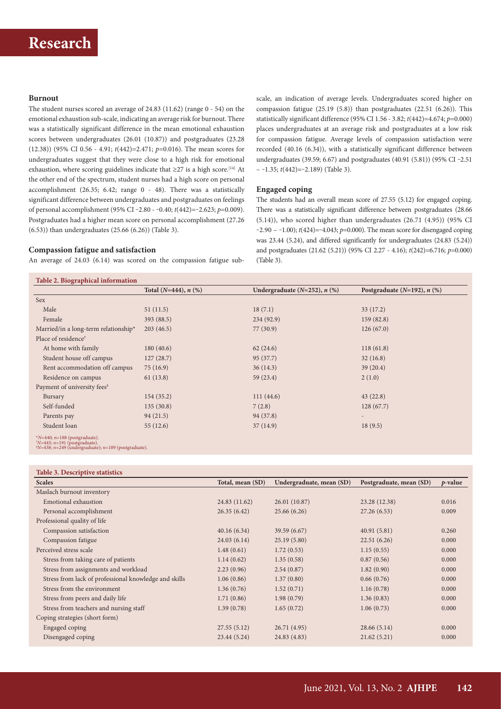#### **Burnout**

The student nurses scored an average of 24.83 (11.62) (range 0 - 54) on the emotional exhaustion sub-scale, indicating an average risk for burnout. There was a statistically significant difference in the mean emotional exhaustion scores between undergraduates (26.01 (10.87)) and postgraduates (23.28 (12.38)) (95% CI 0.56 - 4.91; *t*(442)=2.471; *p*=0.016). The mean scores for undergraduates suggest that they were close to a high risk for emotional exhaustion, where scoring guidelines indicate that  $\geq$ 27 is a high score.<sup>[14]</sup> At the other end of the spectrum, student nurses had a high score on personal accomplishment (26.35; 6.42; range 0 - 48). There was a statistically significant difference between undergraduates and postgraduates on feelings of personal accomplishment (95% CI ‒2.80 - ‒0.40; *t*(442)=‒2.623; *p*=0.009). Postgraduates had a higher mean score on personal accomplishment (27.26 (6.53)) than undergraduates (25.66 (6.26)) (Table 3).

#### **Compassion fatigue and satisfaction**

An average of 24.03 (6.14) was scored on the compassion fatigue sub-

scale, an indication of average levels. Undergraduates scored higher on compassion fatigue (25.19 (5.8)) than postgraduates (22.51 (6.26)). This statistically significant difference (95% CI 1.56 - 3.82; *t*(442)=4.674; *p*=0.000) places undergraduates at an average risk and postgraduates at a low risk for compassion fatigue. Average levels of compassion satisfaction were recorded (40.16 (6.34)), with a statistically significant difference between undergraduates (39.59; 6.67) and postgraduates (40.91 (5.81)) (95% CI-2.51 – ‒1.35; *t*(442)=‒2.189) (Table 3).

### **Engaged coping**

The students had an overall mean score of 27.55 (5.12) for engaged coping. There was a statistically significant difference between postgraduates (28.66 (5.14)), who scored higher than undergraduates (26.71 (4.95)) (95% CI  $-2.90 - 1.00$ ;  $t(424) = -4.043$ ;  $p=0.000$ ). The mean score for disengaged coping was 23.44 (5.24), and differed significantly for undergraduates (24.83 (5.24)) and postgraduates (21.62 (5.21)) (95% CI 2.27 - 4.16); *t*(242)=6.716; *p*=0.000) (Table 3).

|                                         | Total $(N=444)$ , $n$ $(\%)$<br>Undergraduate $(N=252)$ , $n$ $(\%)$ |           | Postgraduate $(N=192)$ , n $(\%)$ |
|-----------------------------------------|----------------------------------------------------------------------|-----------|-----------------------------------|
| Sex                                     |                                                                      |           |                                   |
| Male                                    | 51(11.5)                                                             | 18(7.1)   | 33(17.2)                          |
| Female                                  | 393 (88.5)                                                           | 234(92.9) | 159(82.8)                         |
| Married/in a long-term relationship*    | 203(46.5)                                                            | 77(30.9)  | 126(67.0)                         |
| Place of residence <sup>†</sup>         |                                                                      |           |                                   |
| At home with family                     | 180(40.6)                                                            | 62(24.6)  | 118(61.8)                         |
| Student house off campus                | 127(28.7)                                                            | 95(37.7)  | 32(16.8)                          |
| Rent accommodation off campus           | 75(16.9)                                                             | 36(14.3)  | 39(20.4)                          |
| Residence on campus                     | 61(13.8)                                                             | 59 (23.4) | 2(1.0)                            |
| Payment of university fees <sup>#</sup> |                                                                      |           |                                   |
| Bursary                                 | 154(35.2)                                                            | 111(44.6) | 43(22.8)                          |
| Self-funded                             | 135(30.8)                                                            | 7(2.8)    | 128(67.7)                         |
| Parents pay                             | 94(21.5)                                                             | 94 (37.8) | $\qquad \qquad =$                 |
| Student loan                            | 55(12.6)                                                             | 37(14.9)  | 18(9.5)                           |

*<sup>N</sup>*=443; *<sup>n</sup>*=191 (postgraduate). ‡ *N*=438; *n*=249 (undergraduate); *n*=189 (postgraduate).

| Table 3. Descriptive statistics                       |                  |                          |                         |            |
|-------------------------------------------------------|------------------|--------------------------|-------------------------|------------|
| <b>Scales</b>                                         | Total, mean (SD) | Undergraduate, mean (SD) | Postgraduate, mean (SD) | $p$ -value |
| Maslach burnout inventory                             |                  |                          |                         |            |
| Emotional exhaustion                                  | 24.83 (11.62)    | 26.01 (10.87)            | 23.28 (12.38)           | 0.016      |
| Personal accomplishment                               | 26.35(6.42)      | 25.66(6.26)              | 27.26(6.53)             | 0.009      |
| Professional quality of life                          |                  |                          |                         |            |
| Compassion satisfaction                               | 40.16(6.34)      | 39.59 (6.67)             | 40.91(5.81)             | 0.260      |
| Compassion fatigue                                    | 24.03(6.14)      | 25.19(5.80)              | 22.51(6.26)             | 0.000      |
| Perceived stress scale                                | 1.48(0.61)       | 1.72(0.53)               | 1.15(0.55)              | 0.000      |
| Stress from taking care of patients                   | 1.14(0.62)       | 1.35(0.58)               | 0.87(0.56)              | 0.000      |
| Stress from assignments and workload                  | 2.23(0.96)       | 2.54(0.87)               | 1.82(0.90)              | 0.000      |
| Stress from lack of professional knowledge and skills | 1.06(0.86)       | 1.37(0.80)               | 0.66(0.76)              | 0.000      |
| Stress from the environment                           | 1.36(0.76)       | 1.52(0.71)               | 1.16(0.78)              | 0.000      |
| Stress from peers and daily life                      | 1.71(0.86)       | 1.98(0.79)               | 1.36(0.83)              | 0.000      |
| Stress from teachers and nursing staff                | 1.39(0.78)       | 1.65(0.72)               | 1.06(0.73)              | 0.000      |
| Coping strategies (short form)                        |                  |                          |                         |            |
| Engaged coping                                        | 27.55(5.12)      | 26.71 (4.95)             | 28.66(5.14)             | 0.000      |
| Disengaged coping                                     | 23.44(5.24)      | 24.83 (4.83)             | 21.62(5.21)             | 0.000      |
|                                                       |                  |                          |                         |            |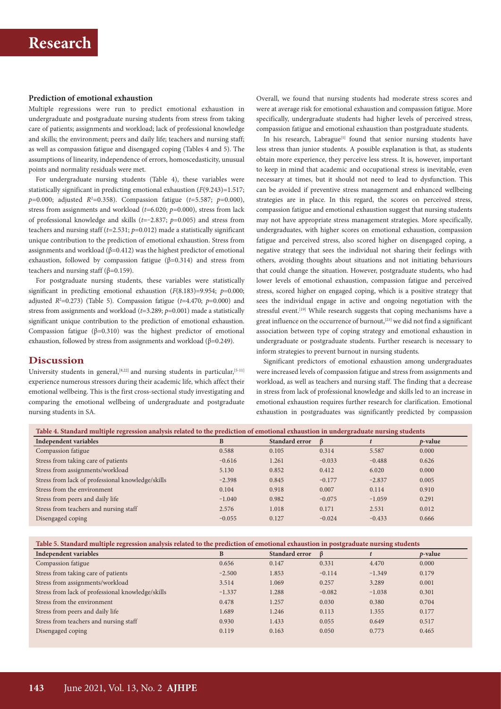# **Prediction of emotional exhaustion**

Multiple regressions were run to predict emotional exhaustion in undergraduate and postgraduate nursing students from stress from taking care of patients; assignments and workload; lack of professional knowledge and skills; the environment; peers and daily life; teachers and nursing staff; as well as compassion fatigue and disengaged coping (Tables 4 and 5). The assumptions of linearity, independence of errors, homoscedasticity, unusual points and normality residuals were met.

For undergraduate nursing students (Table 4), these variables were statistically significant in predicting emotional exhaustion (*F*(9.243)=1.517; *p*=0.000; adjusted *R*<sup>2</sup> =0.358). Compassion fatigue (*t*=5.587; *p*=0.000), stress from assignments and workload (*t*=6.020; *p*=0.000), stress from lack of professional knowledge and skills  $(t=-2.837; p=0.005)$  and stress from teachers and nursing staff (*t*=2.531; *p*=0.012) made a statistically significant unique contribution to the prediction of emotional exhaustion. Stress from assignments and workload ( $β=0.412$ ) was the highest predictor of emotional exhaustion, followed by compassion fatigue ( $\beta$ =0.314) and stress from teachers and nursing staff ( $\beta$ =0.159).

For postgraduate nursing students, these variables were statistically significant in predicting emotional exhaustion (*F*(8.183)=9.954; *p*=0.000; adjusted  $R^2$ =0.273) (Table 5). Compassion fatigue ( $t$ =4.470;  $p$ =0.000) and stress from assignments and workload (*t*=3.289; *p*=0.001) made a statistically significant unique contribution to the prediction of emotional exhaustion. Compassion fatigue ( $\beta$ =0.310) was the highest predictor of emotional exhaustion, followed by stress from assignments and workload (β=0.249).

**Discussion**

University students in general,  $[8,22]$  and nursing students in particular,  $[5-11]$ experience numerous stressors during their academic life, which affect their emotional wellbeing. This is the first cross-sectional study investigating and comparing the emotional wellbeing of undergraduate and postgraduate nursing students in SA.

Overall, we found that nursing students had moderate stress scores and were at average risk for emotional exhaustion and compassion fatigue. More specifically, undergraduate students had higher levels of perceived stress, compassion fatigue and emotional exhaustion than postgraduate students.

In his research, Labrague<sup>[5]</sup> found that senior nursing students have less stress than junior students. A possible explanation is that, as students obtain more experience, they perceive less stress. It is, however, important to keep in mind that academic and occupational stress is inevitable, even necessary at times, but it should not need to lead to dysfunction. This can be avoided if preventive stress management and enhanced wellbeing strategies are in place. In this regard, the scores on perceived stress, compassion fatigue and emotional exhaustion suggest that nursing students may not have appropriate stress management strategies. More specifically, undergraduates, with higher scores on emotional exhaustion, compassion fatigue and perceived stress, also scored higher on disengaged coping, a negative strategy that sees the individual not sharing their feelings with others, avoiding thoughts about situations and not initiating behaviours that could change the situation. However, postgraduate students, who had lower levels of emotional exhaustion, compassion fatigue and perceived stress, scored higher on engaged coping, which is a positive strategy that sees the individual engage in active and ongoing negotiation with the stressful event.<sup>[19]</sup> While research suggests that coping mechanisms have a great influence on the occurrence of burnout,<sup>[23]</sup> we did not find a significant association between type of coping strategy and emotional exhaustion in undergraduate or postgraduate students. Further research is necessary to inform strategies to prevent burnout in nursing students.

Significant predictors of emotional exhaustion among undergraduates were increased levels of compassion fatigue and stress from assignments and workload, as well as teachers and nursing staff. The finding that a decrease in stress from lack of professional knowledge and skills led to an increase in emotional exhaustion requires further research for clarification. Emotional exhaustion in postgraduates was significantly predicted by compassion

| Table 4. Standard multiple regression analysis related to the prediction of emotional exhaustion in undergraduate nursing students |          |                       |          |          |            |  |
|------------------------------------------------------------------------------------------------------------------------------------|----------|-----------------------|----------|----------|------------|--|
| <b>Independent variables</b>                                                                                                       | B        | <b>Standard error</b> | ß        |          | $p$ -value |  |
| Compassion fatigue                                                                                                                 | 0.588    | 0.105                 | 0.314    | 5.587    | 0.000      |  |
| Stress from taking care of patients                                                                                                | $-0.616$ | 1.261                 | $-0.033$ | $-0.488$ | 0.626      |  |
| Stress from assignments/workload                                                                                                   | 5.130    | 0.852                 | 0.412    | 6.020    | 0.000      |  |
| Stress from lack of professional knowledge/skills                                                                                  | $-2.398$ | 0.845                 | $-0.177$ | $-2.837$ | 0.005      |  |
| Stress from the environment                                                                                                        | 0.104    | 0.918                 | 0.007    | 0.114    | 0.910      |  |
| Stress from peers and daily life                                                                                                   | $-1.040$ | 0.982                 | $-0.075$ | $-1.059$ | 0.291      |  |
| Stress from teachers and nursing staff                                                                                             | 2.576    | 1.018                 | 0.171    | 2.531    | 0.012      |  |
| Disengaged coping                                                                                                                  | $-0.055$ | 0.127                 | $-0.024$ | $-0.433$ | 0.666      |  |

**Table 5. Standard multiple regression analysis related to the prediction of emotional exhaustion in postgraduate nursing students**

| Independent variables                             | B        | Standard error | ß        |          | $p$ -value |
|---------------------------------------------------|----------|----------------|----------|----------|------------|
| Compassion fatigue                                | 0.656    | 0.147          | 0.331    | 4.470    | 0.000      |
| Stress from taking care of patients               | $-2.500$ | 1.853          | $-0.114$ | $-1.349$ | 0.179      |
| Stress from assignments/workload                  | 3.514    | 1.069          | 0.257    | 3.289    | 0.001      |
| Stress from lack of professional knowledge/skills | $-1.337$ | 1.288          | $-0.082$ | $-1.038$ | 0.301      |
| Stress from the environment                       | 0.478    | 1.257          | 0.030    | 0.380    | 0.704      |
| Stress from peers and daily life                  | 1.689    | 1.246          | 0.113    | 1.355    | 0.177      |
| Stress from teachers and nursing staff            | 0.930    | 1.433          | 0.055    | 0.649    | 0.517      |
| Disengaged coping                                 | 0.119    | 0.163          | 0.050    | 0.773    | 0.465      |